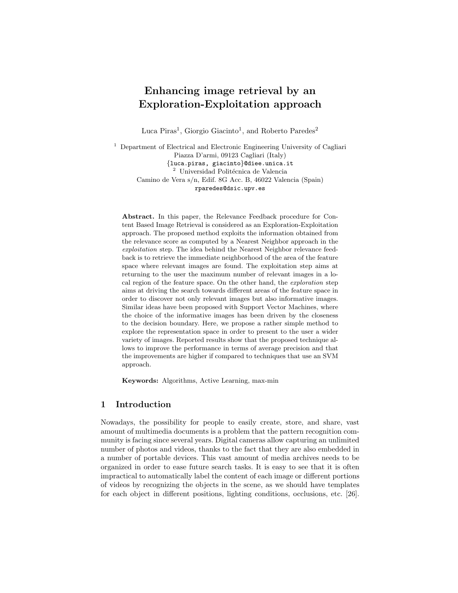# Enhancing image retrieval by an Exploration-Exploitation approach

Luca Piras<sup>1</sup>, Giorgio Giacinto<sup>1</sup>, and Roberto Paredes<sup>2</sup>

<sup>1</sup> Department of Electrical and Electronic Engineering University of Cagliari Piazza D'armi, 09123 Cagliari (Italy) {luca.piras, giacinto}@diee.unica.it  $^2$ Universidad Politécnica de Valencia Camino de Vera s/n, Edif. 8G Acc. B, 46022 Valencia (Spain) rparedes@dsic.upv.es

Abstract. In this paper, the Relevance Feedback procedure for Content Based Image Retrieval is considered as an Exploration-Exploitation approach. The proposed method exploits the information obtained from the relevance score as computed by a Nearest Neighbor approach in the exploitation step. The idea behind the Nearest Neighbor relevance feedback is to retrieve the immediate neighborhood of the area of the feature space where relevant images are found. The exploitation step aims at returning to the user the maximum number of relevant images in a local region of the feature space. On the other hand, the exploration step aims at driving the search towards different areas of the feature space in order to discover not only relevant images but also informative images. Similar ideas have been proposed with Support Vector Machines, where the choice of the informative images has been driven by the closeness to the decision boundary. Here, we propose a rather simple method to explore the representation space in order to present to the user a wider variety of images. Reported results show that the proposed technique allows to improve the performance in terms of average precision and that the improvements are higher if compared to techniques that use an SVM approach.

Keywords: Algorithms, Active Learning, max-min

# 1 Introduction

Nowadays, the possibility for people to easily create, store, and share, vast amount of multimedia documents is a problem that the pattern recognition community is facing since several years. Digital cameras allow capturing an unlimited number of photos and videos, thanks to the fact that they are also embedded in a number of portable devices. This vast amount of media archives needs to be organized in order to ease future search tasks. It is easy to see that it is often impractical to automatically label the content of each image or different portions of videos by recognizing the objects in the scene, as we should have templates for each object in different positions, lighting conditions, occlusions, etc. [26].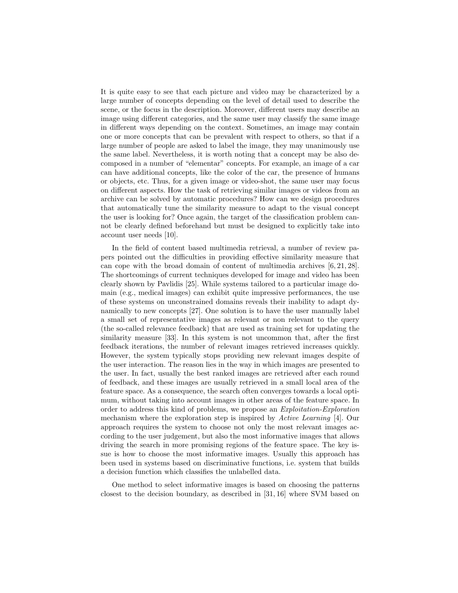It is quite easy to see that each picture and video may be characterized by a large number of concepts depending on the level of detail used to describe the scene, or the focus in the description. Moreover, different users may describe an image using different categories, and the same user may classify the same image in different ways depending on the context. Sometimes, an image may contain one or more concepts that can be prevalent with respect to others, so that if a large number of people are asked to label the image, they may unanimously use the same label. Nevertheless, it is worth noting that a concept may be also decomposed in a number of "elementar" concepts. For example, an image of a car can have additional concepts, like the color of the car, the presence of humans or objects, etc. Thus, for a given image or video-shot, the same user may focus on different aspects. How the task of retrieving similar images or videos from an archive can be solved by automatic procedures? How can we design procedures that automatically tune the similarity measure to adapt to the visual concept the user is looking for? Once again, the target of the classification problem cannot be clearly defined beforehand but must be designed to explicitly take into account user needs [10].

In the field of content based multimedia retrieval, a number of review papers pointed out the difficulties in providing effective similarity measure that can cope with the broad domain of content of multimedia archives [6, 21, 28]. The shortcomings of current techniques developed for image and video has been clearly shown by Pavlidis [25]. While systems tailored to a particular image domain (e.g., medical images) can exhibit quite impressive performances, the use of these systems on unconstrained domains reveals their inability to adapt dynamically to new concepts [27]. One solution is to have the user manually label a small set of representative images as relevant or non relevant to the query (the so-called relevance feedback) that are used as training set for updating the similarity measure [33]. In this system is not uncommon that, after the first feedback iterations, the number of relevant images retrieved increases quickly. However, the system typically stops providing new relevant images despite of the user interaction. The reason lies in the way in which images are presented to the user. In fact, usually the best ranked images are retrieved after each round of feedback, and these images are usually retrieved in a small local area of the feature space. As a consequence, the search often converges towards a local optimum, without taking into account images in other areas of the feature space. In order to address this kind of problems, we propose an Exploitation-Exploration mechanism where the exploration step is inspired by Active Learning [4]. Our approach requires the system to choose not only the most relevant images according to the user judgement, but also the most informative images that allows driving the search in more promising regions of the feature space. The key issue is how to choose the most informative images. Usually this approach has been used in systems based on discriminative functions, i.e. system that builds a decision function which classifies the unlabelled data.

One method to select informative images is based on choosing the patterns closest to the decision boundary, as described in [31, 16] where SVM based on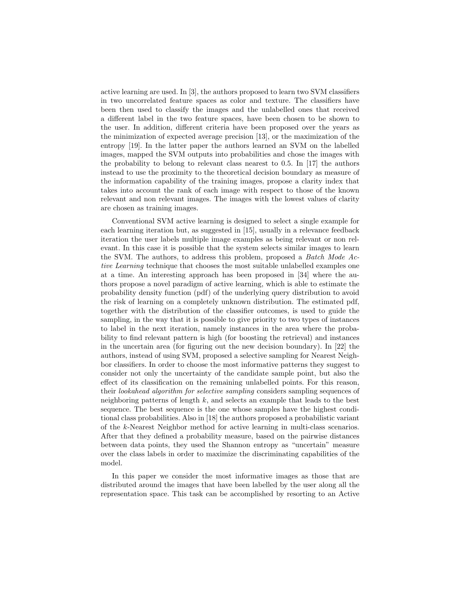active learning are used. In [3], the authors proposed to learn two SVM classifiers in two uncorrelated feature spaces as color and texture. The classifiers have been then used to classify the images and the unlabelled ones that received a different label in the two feature spaces, have been chosen to be shown to the user. In addition, different criteria have been proposed over the years as the minimization of expected average precision [13], or the maximization of the entropy [19]. In the latter paper the authors learned an SVM on the labelled images, mapped the SVM outputs into probabilities and chose the images with the probability to belong to relevant class nearest to 0.5. In [17] the authors instead to use the proximity to the theoretical decision boundary as measure of the information capability of the training images, propose a clarity index that takes into account the rank of each image with respect to those of the known relevant and non relevant images. The images with the lowest values of clarity are chosen as training images.

Conventional SVM active learning is designed to select a single example for each learning iteration but, as suggested in [15], usually in a relevance feedback iteration the user labels multiple image examples as being relevant or non relevant. In this case it is possible that the system selects similar images to learn the SVM. The authors, to address this problem, proposed a Batch Mode Active Learning technique that chooses the most suitable unlabelled examples one at a time. An interesting approach has been proposed in [34] where the authors propose a novel paradigm of active learning, which is able to estimate the probability density function (pdf) of the underlying query distribution to avoid the risk of learning on a completely unknown distribution. The estimated pdf, together with the distribution of the classifier outcomes, is used to guide the sampling, in the way that it is possible to give priority to two types of instances to label in the next iteration, namely instances in the area where the probability to find relevant pattern is high (for boosting the retrieval) and instances in the uncertain area (for figuring out the new decision boundary). In [22] the authors, instead of using SVM, proposed a selective sampling for Nearest Neighbor classifiers. In order to choose the most informative patterns they suggest to consider not only the uncertainty of the candidate sample point, but also the effect of its classification on the remaining unlabelled points. For this reason, their lookahead algorithm for selective sampling considers sampling sequences of neighboring patterns of length  $k$ , and selects an example that leads to the best sequence. The best sequence is the one whose samples have the highest conditional class probabilities. Also in [18] the authors proposed a probabilistic variant of the k-Nearest Neighbor method for active learning in multi-class scenarios. After that they defined a probability measure, based on the pairwise distances between data points, they used the Shannon entropy as "uncertain" measure over the class labels in order to maximize the discriminating capabilities of the model.

In this paper we consider the most informative images as those that are distributed around the images that have been labelled by the user along all the representation space. This task can be accomplished by resorting to an Active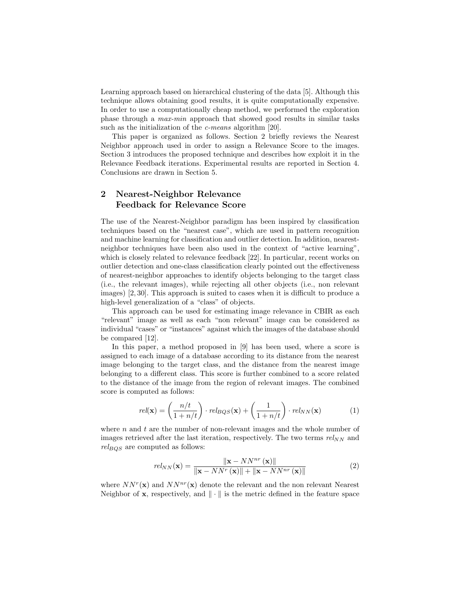Learning approach based on hierarchical clustering of the data [5]. Although this technique allows obtaining good results, it is quite computationally expensive. In order to use a computationally cheap method, we performed the exploration phase through a max-min approach that showed good results in similar tasks such as the initialization of the *c*-means algorithm [20].

This paper is organized as follows. Section 2 briefly reviews the Nearest Neighbor approach used in order to assign a Relevance Score to the images. Section 3 introduces the proposed technique and describes how exploit it in the Relevance Feedback iterations. Experimental results are reported in Section 4. Conclusions are drawn in Section 5.

# 2 Nearest-Neighbor Relevance Feedback for Relevance Score

The use of the Nearest-Neighbor paradigm has been inspired by classification techniques based on the "nearest case", which are used in pattern recognition and machine learning for classification and outlier detection. In addition, nearestneighbor techniques have been also used in the context of "active learning", which is closely related to relevance feedback [22]. In particular, recent works on outlier detection and one-class classification clearly pointed out the effectiveness of nearest-neighbor approaches to identify objects belonging to the target class (i.e., the relevant images), while rejecting all other objects (i.e., non relevant images) [2, 30]. This approach is suited to cases when it is difficult to produce a high-level generalization of a "class" of objects.

This approach can be used for estimating image relevance in CBIR as each "relevant" image as well as each "non relevant" image can be considered as individual "cases" or "instances" against which the images of the database should be compared [12].

In this paper, a method proposed in [9] has been used, where a score is assigned to each image of a database according to its distance from the nearest image belonging to the target class, and the distance from the nearest image belonging to a different class. This score is further combined to a score related to the distance of the image from the region of relevant images. The combined score is computed as follows:

$$
rel(\mathbf{x}) = \left(\frac{n/t}{1+n/t}\right) \cdot rel_{BQS}(\mathbf{x}) + \left(\frac{1}{1+n/t}\right) \cdot rel_{NN}(\mathbf{x})
$$
(1)

where  $n$  and  $t$  are the number of non-relevant images and the whole number of images retrieved after the last iteration, respectively. The two terms  $rel_{NN}$  and  $rel<sub>BOS</sub>$  are computed as follows:

$$
rel_{NN}(\mathbf{x}) = \frac{\|\mathbf{x} - NN^{nr}(\mathbf{x})\|}{\|\mathbf{x} - NN^{r}(\mathbf{x})\| + \|\mathbf{x} - NN^{nr}(\mathbf{x})\|}
$$
(2)

where  $NN^{r}(\mathbf{x})$  and  $NN^{nr}(\mathbf{x})$  denote the relevant and the non relevant Nearest Neighbor of  $x$ , respectively, and  $\|\cdot\|$  is the metric defined in the feature space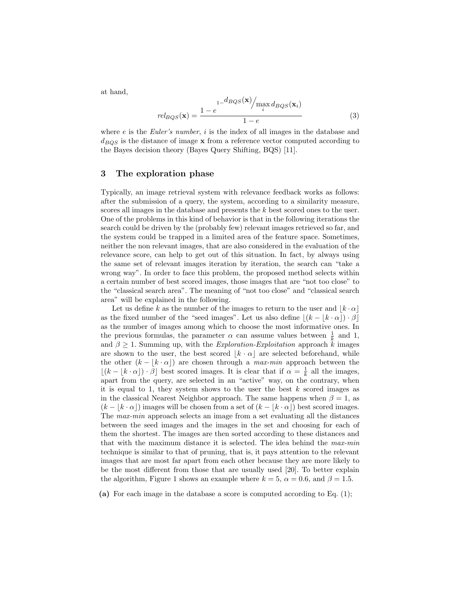at hand,

$$
rel_{BQS}(\mathbf{x}) = \frac{1 - e^{-d_{BQS}(\mathbf{x})} / \max_{i} d_{BQS}(\mathbf{x}_i)}{1 - e}
$$
(3)

where  $e$  is the *Euler's number*,  $i$  is the index of all images in the database and  $d_{BQS}$  is the distance of image **x** from a reference vector computed according to the Bayes decision theory (Bayes Query Shifting, BQS) [11].

#### 3 The exploration phase

Typically, an image retrieval system with relevance feedback works as follows: after the submission of a query, the system, according to a similarity measure, scores all images in the database and presents the k best scored ones to the user. One of the problems in this kind of behavior is that in the following iterations the search could be driven by the (probably few) relevant images retrieved so far, and the system could be trapped in a limited area of the feature space. Sometimes, neither the non relevant images, that are also considered in the evaluation of the relevance score, can help to get out of this situation. In fact, by always using the same set of relevant images iteration by iteration, the search can "take a wrong way". In order to face this problem, the proposed method selects within a certain number of best scored images, those images that are "not too close" to the "classical search area". The meaning of "not too close" and "classical search area" will be explained in the following.

Let us define k as the number of the images to return to the user and  $|k \cdot \alpha|$ as the fixed number of the "seed images". Let us also define  $|(k - (k \cdot \alpha) \cdot \beta|)$ as the number of images among which to choose the most informative ones. In the previous formulas, the parameter  $\alpha$  can assume values between  $\frac{1}{k}$  and 1, and  $\beta \geq 1$ . Summing up, with the *Exploration-Exploitation* approach k images are shown to the user, the best scored  $|k \cdot \alpha|$  are selected beforehand, while the other  $(k - |k \cdot \alpha|)$  are chosen through a max-min approach between the  $\lfloor (k - \lfloor k \cdot \alpha \rfloor) \cdot \beta \rfloor$  best scored images. It is clear that if  $\alpha = \frac{1}{k}$  all the images, apart from the query, are selected in an "active" way, on the contrary, when it is equal to 1, they system shows to the user the best  $k$  scored images as in the classical Nearest Neighbor approach. The same happens when  $\beta = 1$ , as  $(k - |k \cdot \alpha|)$  images will be chosen from a set of  $(k - |k \cdot \alpha|)$  best scored images. The max-min approach selects an image from a set evaluating all the distances between the seed images and the images in the set and choosing for each of them the shortest. The images are then sorted according to these distances and that with the maximum distance it is selected. The idea behind the max-min technique is similar to that of pruning, that is, it pays attention to the relevant images that are most far apart from each other because they are more likely to be the most different from those that are usually used [20]. To better explain the algorithm, Figure 1 shows an example where  $k = 5$ ,  $\alpha = 0.6$ , and  $\beta = 1.5$ .

(a) For each image in the database a score is computed according to Eq. (1);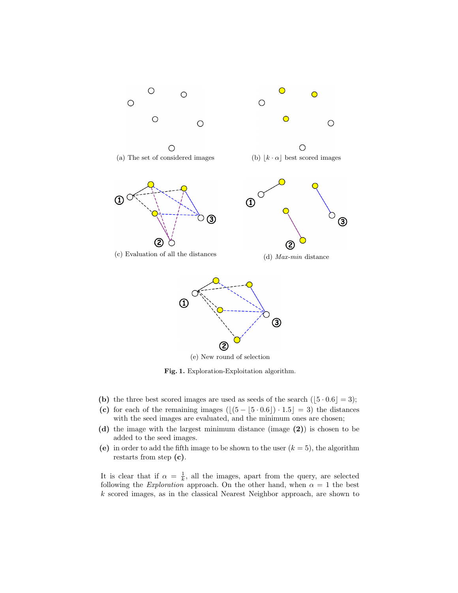

Fig. 1. Exploration-Exploitation algorithm.

- (b) the three best scored images are used as seeds of the search  $(|5 \cdot 0.6| = 3)$ ;
- (c) for each of the remaining images  $([5 [5 \cdot 0.6]) \cdot 1.5] = 3$  the distances with the seed images are evaluated, and the minimum ones are chosen;
- (d) the image with the largest minimum distance (image (2)) is chosen to be added to the seed images.
- (e) in order to add the fifth image to be shown to the user  $(k = 5)$ , the algorithm restarts from step (c).

It is clear that if  $\alpha = \frac{1}{k}$ , all the images, apart from the query, are selected following the *Exploration* approach. On the other hand, when  $\alpha = 1$  the best k scored images, as in the classical Nearest Neighbor approach, are shown to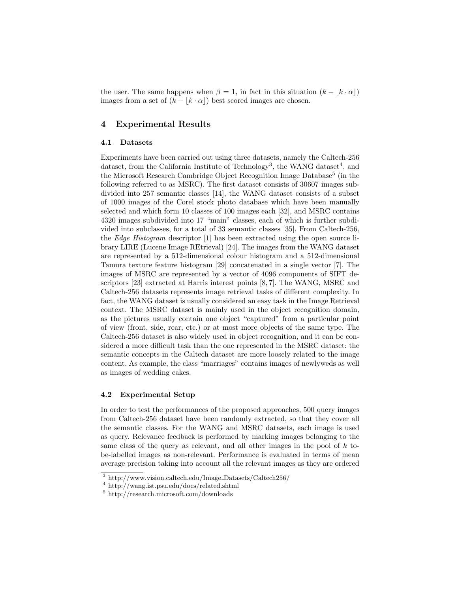the user. The same happens when  $\beta = 1$ , in fact in this situation  $(k - |k \cdot \alpha|)$ images from a set of  $(k - |k \cdot \alpha|)$  best scored images are chosen.

# 4 Experimental Results

#### 4.1 Datasets

Experiments have been carried out using three datasets, namely the Caltech-256 dataset, from the California Institute of Technology<sup>3</sup>, the WANG dataset<sup>4</sup>, and the Microsoft Research Cambridge Object Recognition Image Database<sup>5</sup> (in the following referred to as MSRC). The first dataset consists of 30607 images subdivided into 257 semantic classes [14], the WANG dataset consists of a subset of 1000 images of the Corel stock photo database which have been manually selected and which form 10 classes of 100 images each [32], and MSRC contains 4320 images subdivided into 17 "main" classes, each of which is further subdivided into subclasses, for a total of 33 semantic classes [35]. From Caltech-256, the Edge Histogram descriptor [1] has been extracted using the open source library LIRE (Lucene Image REtrieval) [24]. The images from the WANG dataset are represented by a 512-dimensional colour histogram and a 512-dimensional Tamura texture feature histogram [29] concatenated in a single vector [7]. The images of MSRC are represented by a vector of 4096 components of SIFT descriptors [23] extracted at Harris interest points [8, 7]. The WANG, MSRC and Caltech-256 datasets represents image retrieval tasks of different complexity. In fact, the WANG dataset is usually considered an easy task in the Image Retrieval context. The MSRC dataset is mainly used in the object recognition domain, as the pictures usually contain one object "captured" from a particular point of view (front, side, rear, etc.) or at most more objects of the same type. The Caltech-256 dataset is also widely used in object recognition, and it can be considered a more difficult task than the one represented in the MSRC dataset: the semantic concepts in the Caltech dataset are more loosely related to the image content. As example, the class "marriages" contains images of newlyweds as well as images of wedding cakes.

#### 4.2 Experimental Setup

In order to test the performances of the proposed approaches, 500 query images from Caltech-256 dataset have been randomly extracted, so that they cover all the semantic classes. For the WANG and MSRC datasets, each image is used as query. Relevance feedback is performed by marking images belonging to the same class of the query as relevant, and all other images in the pool of  $k$  tobe-labelled images as non-relevant. Performance is evaluated in terms of mean average precision taking into account all the relevant images as they are ordered

<sup>3</sup> http://www.vision.caltech.edu/Image Datasets/Caltech256/

<sup>4</sup> http://wang.ist.psu.edu/docs/related.shtml

<sup>5</sup> http://research.microsoft.com/downloads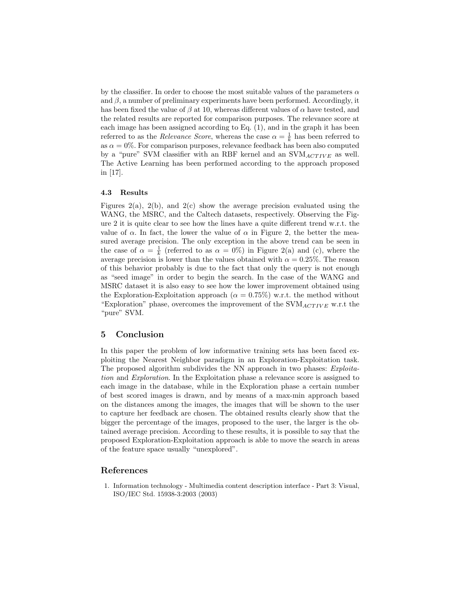by the classifier. In order to choose the most suitable values of the parameters  $\alpha$ and  $\beta$ , a number of preliminary experiments have been performed. Accordingly, it has been fixed the value of  $\beta$  at 10, whereas different values of  $\alpha$  have tested, and the related results are reported for comparison purposes. The relevance score at each image has been assigned according to Eq. (1), and in the graph it has been referred to as the *Relevance Score*, whereas the case  $\alpha = \frac{1}{k}$  has been referred to as  $\alpha = 0\%$ . For comparison purposes, relevance feedback has been also computed by a "pure" SVM classifier with an RBF kernel and an  $\text{SVM}_{ACTIVE}$  as well. The Active Learning has been performed according to the approach proposed in [17].

# 4.3 Results

Figures 2(a), 2(b), and 2(c) show the average precision evaluated using the WANG, the MSRC, and the Caltech datasets, respectively. Observing the Figure 2 it is quite clear to see how the lines have a quite different trend w.r.t. the value of  $\alpha$ . In fact, the lower the value of  $\alpha$  in Figure 2, the better the measured average precision. The only exception in the above trend can be seen in the case of  $\alpha = \frac{1}{k}$  (referred to as  $\alpha = 0\%$ ) in Figure 2(a) and (c), where the average precision is lower than the values obtained with  $\alpha = 0.25\%$ . The reason of this behavior probably is due to the fact that only the query is not enough as "seed image" in order to begin the search. In the case of the WANG and MSRC dataset it is also easy to see how the lower improvement obtained using the Exploration-Exploitation approach ( $\alpha = 0.75\%$ ) w.r.t. the method without "Exploration" phase, overcomes the improvement of the  $\text{SVM}_{ACTIVE}$  w.r.t the "pure" SVM.

# 5 Conclusion

In this paper the problem of low informative training sets has been faced exploiting the Nearest Neighbor paradigm in an Exploration-Exploitation task. The proposed algorithm subdivides the NN approach in two phases: Exploitation and Exploration. In the Exploitation phase a relevance score is assigned to each image in the database, while in the Exploration phase a certain number of best scored images is drawn, and by means of a max-min approach based on the distances among the images, the images that will be shown to the user to capture her feedback are chosen. The obtained results clearly show that the bigger the percentage of the images, proposed to the user, the larger is the obtained average precision. According to these results, it is possible to say that the proposed Exploration-Exploitation approach is able to move the search in areas of the feature space usually "unexplored".

# References

1. Information technology - Multimedia content description interface - Part 3: Visual, ISO/IEC Std. 15938-3:2003 (2003)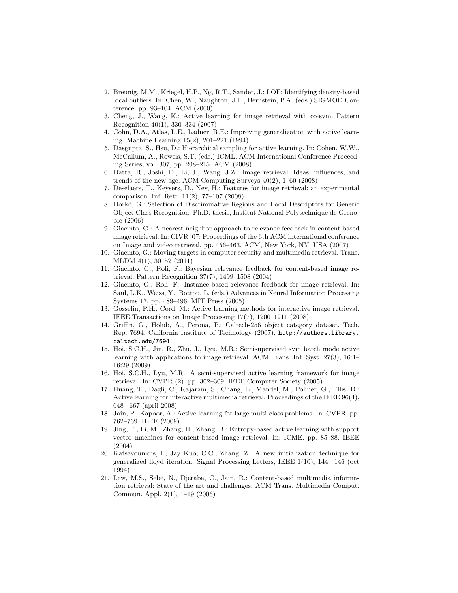- 2. Breunig, M.M., Kriegel, H.P., Ng, R.T., Sander, J.: LOF: Identifying density-based local outliers. In: Chen, W., Naughton, J.F., Bernstein, P.A. (eds.) SIGMOD Conference. pp. 93–104. ACM (2000)
- 3. Cheng, J., Wang, K.: Active learning for image retrieval with co-svm. Pattern Recognition 40(1), 330–334 (2007)
- 4. Cohn, D.A., Atlas, L.E., Ladner, R.E.: Improving generalization with active learning. Machine Learning 15(2), 201–221 (1994)
- 5. Dasgupta, S., Hsu, D.: Hierarchical sampling for active learning. In: Cohen, W.W., McCallum, A., Roweis, S.T. (eds.) ICML. ACM International Conference Proceeding Series, vol. 307, pp. 208–215. ACM (2008)
- 6. Datta, R., Joshi, D., Li, J., Wang, J.Z.: Image retrieval: Ideas, influences, and trends of the new age. ACM Computing Surveys 40(2), 1–60 (2008)
- 7. Deselaers, T., Keysers, D., Ney, H.: Features for image retrieval: an experimental comparison. Inf. Retr. 11(2), 77–107 (2008)
- 8. Dorkó, G.: Selection of Discriminative Regions and Local Descriptors for Generic Object Class Recognition. Ph.D. thesis, Institut National Polytechnique de Grenoble (2006)
- 9. Giacinto, G.: A nearest-neighbor approach to relevance feedback in content based image retrieval. In: CIVR '07: Proceedings of the 6th ACM international conference on Image and video retrieval. pp. 456–463. ACM, New York, NY, USA (2007)
- 10. Giacinto, G.: Moving targets in computer security and multimedia retrieval. Trans. MLDM 4(1), 30–52 (2011)
- 11. Giacinto, G., Roli, F.: Bayesian relevance feedback for content-based image retrieval. Pattern Recognition 37(7), 1499–1508 (2004)
- 12. Giacinto, G., Roli, F.: Instance-based relevance feedback for image retrieval. In: Saul, L.K., Weiss, Y., Bottou, L. (eds.) Advances in Neural Information Processing Systems 17, pp. 489–496. MIT Press (2005)
- 13. Gosselin, P.H., Cord, M.: Active learning methods for interactive image retrieval. IEEE Transactions on Image Processing 17(7), 1200–1211 (2008)
- 14. Griffin, G., Holub, A., Perona, P.: Caltech-256 object category dataset. Tech. Rep. 7694, California Institute of Technology (2007), http://authors.library. caltech.edu/7694
- 15. Hoi, S.C.H., Jin, R., Zhu, J., Lyu, M.R.: Semisupervised svm batch mode active learning with applications to image retrieval. ACM Trans. Inf. Syst. 27(3), 16:1– 16:29 (2009)
- 16. Hoi, S.C.H., Lyu, M.R.: A semi-supervised active learning framework for image retrieval. In: CVPR (2). pp. 302–309. IEEE Computer Society (2005)
- 17. Huang, T., Dagli, C., Rajaram, S., Chang, E., Mandel, M., Poliner, G., Ellis, D.: Active learning for interactive multimedia retrieval. Proceedings of the IEEE 96(4), 648 –667 (april 2008)
- 18. Jain, P., Kapoor, A.: Active learning for large multi-class problems. In: CVPR. pp. 762–769. IEEE (2009)
- 19. Jing, F., Li, M., Zhang, H., Zhang, B.: Entropy-based active learning with support vector machines for content-based image retrieval. In: ICME. pp. 85–88. IEEE (2004)
- 20. Katsavounidis, I., Jay Kuo, C.C., Zhang, Z.: A new initialization technique for generalized lloyd iteration. Signal Processing Letters, IEEE 1(10), 144 –146 (oct 1994)
- 21. Lew, M.S., Sebe, N., Djeraba, C., Jain, R.: Content-based multimedia information retrieval: State of the art and challenges. ACM Trans. Multimedia Comput. Commun. Appl. 2(1), 1–19 (2006)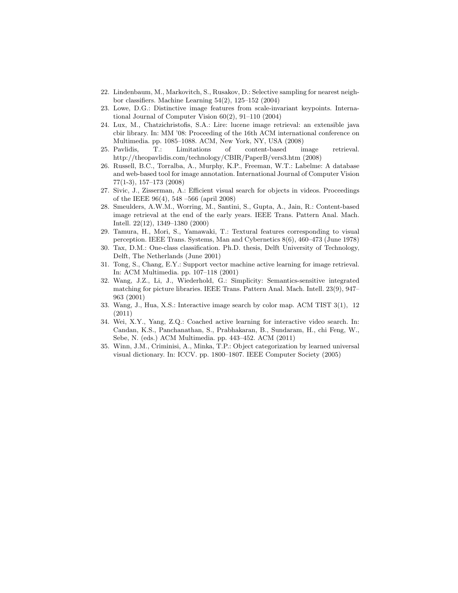- 22. Lindenbaum, M., Markovitch, S., Rusakov, D.: Selective sampling for nearest neighbor classifiers. Machine Learning 54(2), 125–152 (2004)
- 23. Lowe, D.G.: Distinctive image features from scale-invariant keypoints. International Journal of Computer Vision 60(2), 91–110 (2004)
- 24. Lux, M., Chatzichristofis, S.A.: Lire: lucene image retrieval: an extensible java cbir library. In: MM '08: Proceeding of the 16th ACM international conference on Multimedia. pp. 1085–1088. ACM, New York, NY, USA (2008)
- 25. Pavlidis, T.: Limitations of content-based image retrieval. http://theopavlidis.com/technology/CBIR/PaperB/vers3.htm (2008)
- 26. Russell, B.C., Torralba, A., Murphy, K.P., Freeman, W.T.: Labelme: A database and web-based tool for image annotation. International Journal of Computer Vision 77(1-3), 157–173 (2008)
- 27. Sivic, J., Zisserman, A.: Efficient visual search for objects in videos. Proceedings of the IEEE 96(4), 548 –566 (april 2008)
- 28. Smeulders, A.W.M., Worring, M., Santini, S., Gupta, A., Jain, R.: Content-based image retrieval at the end of the early years. IEEE Trans. Pattern Anal. Mach. Intell. 22(12), 1349–1380 (2000)
- 29. Tamura, H., Mori, S., Yamawaki, T.: Textural features corresponding to visual perception. IEEE Trans. Systems, Man and Cybernetics 8(6), 460–473 (June 1978)
- 30. Tax, D.M.: One-class classification. Ph.D. thesis, Delft University of Technology, Delft, The Netherlands (June 2001)
- 31. Tong, S., Chang, E.Y.: Support vector machine active learning for image retrieval. In: ACM Multimedia. pp. 107–118 (2001)
- 32. Wang, J.Z., Li, J., Wiederhold, G.: Simplicity: Semantics-sensitive integrated matching for picture libraries. IEEE Trans. Pattern Anal. Mach. Intell. 23(9), 947– 963 (2001)
- 33. Wang, J., Hua, X.S.: Interactive image search by color map. ACM TIST 3(1), 12 (2011)
- 34. Wei, X.Y., Yang, Z.Q.: Coached active learning for interactive video search. In: Candan, K.S., Panchanathan, S., Prabhakaran, B., Sundaram, H., chi Feng, W., Sebe, N. (eds.) ACM Multimedia. pp. 443–452. ACM (2011)
- 35. Winn, J.M., Criminisi, A., Minka, T.P.: Object categorization by learned universal visual dictionary. In: ICCV. pp. 1800–1807. IEEE Computer Society (2005)